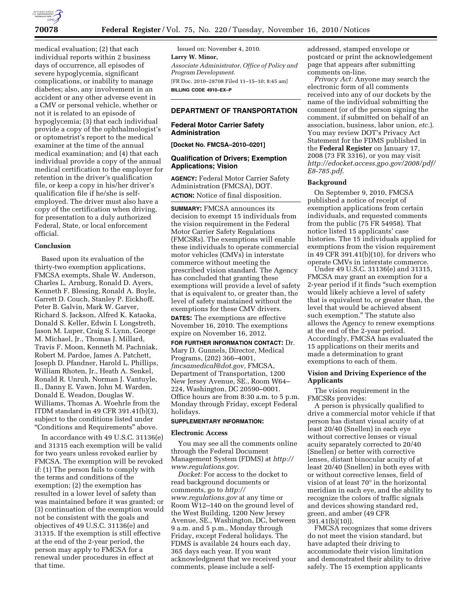

medical evaluation; (2) that each individual reports within 2 business days of occurrence, all episodes of severe hypoglycemia, significant complications, or inability to manage diabetes; also, any involvement in an accident or any other adverse event in a CMV or personal vehicle, whether or not it is related to an episode of hypoglycemia; (3) that each individual provide a copy of the ophthalmologist's or optometrist's report to the medical examiner at the time of the annual medical examination; and (4) that each individual provide a copy of the annual medical certification to the employer for retention in the driver's qualification file, or keep a copy in his/her driver's qualification file if he/she is selfemployed. The driver must also have a copy of the certification when driving, for presentation to a duly authorized Federal, State, or local enforcement official.

### **Conclusion**

Based upon its evaluation of the thirty-two exemption applications, FMCSA exempts, Shale W. Anderson, Charles L. Arnburg, Ronald D. Ayers, Kenneth F. Blessing, Ronald A. Boyle, Garrett D. Couch, Stanley P. Eickhoff, Peter B. Galvin, Mark W. Garver, Richard S. Jackson, Alfred K. Kataoka, Donald S. Keller, Edwin I. Longstreth, Jason M. Luper, Craig S. Lynn, George M. Michael, Jr., Thomas J. Millard, Travis F. Moon, Kenneth M. Pachniak, Robert M. Pardoe, James A. Patchett, Joseph D. Pfandner, Harold L. Phillips, William Rhoten, Jr., Heath A. Senkel, Ronald R. Unruh, Norman J. Vantuyle, II., Danny E. Vawn, John M. Warden, Donald E. Weadon, Douglas W. Williams, Thomas A. Woehrle from the ITDM standard in 49 CFR 391.41(b)(3), subject to the conditions listed under ''Conditions and Requirements'' above.

In accordance with 49 U.S.C. 31136(e) and 31315 each exemption will be valid for two years unless revoked earlier by FMCSA. The exemption will be revoked if: (1) The person fails to comply with the terms and conditions of the exemption; (2) the exemption has resulted in a lower level of safety than was maintained before it was granted; or (3) continuation of the exemption would not be consistent with the goals and objectives of 49 U.S.C. 31136(e) and 31315. If the exemption is still effective at the end of the 2-year period, the person may apply to FMCSA for a renewal under procedures in effect at that time.

Issued on: November 4, 2010. **Larry W. Minor,**  *Associate Administrator, Office of Policy and Program Development.*  [FR Doc. 2010–28708 Filed 11–15–10; 8:45 am] **BILLING CODE 4910–EX–P** 

# **DEPARTMENT OF TRANSPORTATION**

# **Federal Motor Carrier Safety Administration**

**[Docket No. FMCSA–2010–0201]** 

# **Qualification of Drivers; Exemption Applications; Vision**

**AGENCY:** Federal Motor Carrier Safety Administration (FMCSA), DOT. **ACTION:** Notice of final disposition.

**SUMMARY:** FMCSA announces its decision to exempt 15 individuals from the vision requirement in the Federal Motor Carrier Safety Regulations (FMCSRs). The exemptions will enable these individuals to operate commercial motor vehicles (CMVs) in interstate commerce without meeting the prescribed vision standard. The Agency has concluded that granting these exemptions will provide a level of safety that is equivalent to, or greater than, the level of safety maintained without the exemptions for these CMV drivers.

**DATES:** The exemptions are effective November 16, 2010. The exemptions expire on November 16, 2012.

# **FOR FURTHER INFORMATION CONTACT:** Dr.

Mary D. Gunnels, Director, Medical Programs, (202) 366–4001, *[fmcsamedical@dot.gov,](mailto:fmcsamedical@dot.gov)* FMCSA, Department of Transportation, 1200 New Jersey Avenue, SE., Room W64– 224, Washington, DC 20590–0001. Office hours are from 8:30 a.m. to 5 p.m. Monday through Friday, except Federal holidays.

## **SUPPLEMENTARY INFORMATION:**

#### **Electronic Access**

You may see all the comments online through the Federal Document Management System (FDMS) at *[http://](http://www.regulations.gov)  [www.regulations.gov](http://www.regulations.gov)*.

*Docket:* For access to the docket to read background documents or comments, go to *[http://](http://www.regulations.gov) [www.regulations.gov](http://www.regulations.gov)* at any time or Room W12–140 on the ground level of the West Building, 1200 New Jersey Avenue, SE., Washington, DC, between 9 a.m. and 5 p.m., Monday through Friday, except Federal holidays. The FDMS is available 24 hours each day, 365 days each year. If you want acknowledgment that we received your comments, please include a selfaddressed, stamped envelope or postcard or print the acknowledgement page that appears after submitting comments on-line.

*Privacy Act:* Anyone may search the electronic form of all comments received into any of our dockets by the name of the individual submitting the comment (or of the person signing the comment, if submitted on behalf of an association, business, labor union, *etc.*). You may review DOT's Privacy Act Statement for the FDMS published in the **Federal Register** on January 17, 2008 (73 FR 3316), or you may visit *[http://edocket.access.gpo.gov/2008/pdf/](http://edocket.access.gpo.gov/2008/pdf/E8-785.pdf) [E8-785.pdf](http://edocket.access.gpo.gov/2008/pdf/E8-785.pdf)*.

#### **Background**

On September 9, 2010, FMCSA published a notice of receipt of exemption applications from certain individuals, and requested comments from the public (75 FR 54958). That notice listed 15 applicants' case histories. The 15 individuals applied for exemptions from the vision requirement in 49 CFR 391.41(b)(10), for drivers who operate CMVs in interstate commerce.

Under 49 U.S.C. 31136(e) and 31315, FMCSA may grant an exemption for a 2-year period if it finds ''such exemption would likely achieve a level of safety that is equivalent to, or greater than, the level that would be achieved absent such exemption.'' The statute also allows the Agency to renew exemptions at the end of the 2-year period. Accordingly, FMCSA has evaluated the 15 applications on their merits and made a determination to grant exemptions to each of them.

## **Vision and Driving Experience of the Applicants**

The vision requirement in the FMCSRs provides:

A person is physically qualified to drive a commercial motor vehicle if that person has distant visual acuity of at least 20/40 (Snellen) in each eye without corrective lenses or visual acuity separately corrected to 20/40 (Snellen) or better with corrective lenses, distant binocular acuity of at least 20/40 (Snellen) in both eyes with or without corrective lenses, field of vision of at least 70° in the horizontal meridian in each eye, and the ability to recognize the colors of traffic signals and devices showing standard red, green, and amber (49 CFR 391.41(b)(10)).

FMCSA recognizes that some drivers do not meet the vision standard, but have adapted their driving to accommodate their vision limitation and demonstrated their ability to drive safely. The 15 exemption applicants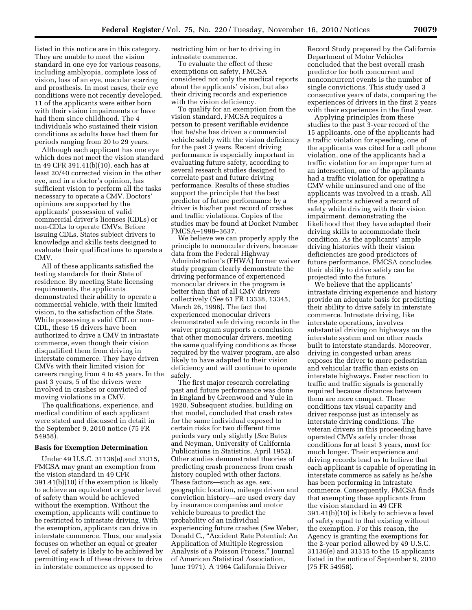listed in this notice are in this category. They are unable to meet the vision standard in one eye for various reasons, including amblyopia, complete loss of vision, loss of an eye, macular scarring and prosthesis. In most cases, their eye conditions were not recently developed. 11 of the applicants were either born with their vision impairments or have had them since childhood. The 4 individuals who sustained their vision conditions as adults have had them for periods ranging from 20 to 29 years.

Although each applicant has one eye which does not meet the vision standard in 49 CFR 391.41(b)(10), each has at least 20/40 corrected vision in the other eye, and in a doctor's opinion, has sufficient vision to perform all the tasks necessary to operate a CMV. Doctors' opinions are supported by the applicants' possession of valid commercial driver's licenses (CDLs) or non-CDLs to operate CMVs. Before issuing CDLs, States subject drivers to knowledge and skills tests designed to evaluate their qualifications to operate a CMV.

All of these applicants satisfied the testing standards for their State of residence. By meeting State licensing requirements, the applicants demonstrated their ability to operate a commercial vehicle, with their limited vision, to the satisfaction of the State. While possessing a valid CDL or non-CDL, these 15 drivers have been authorized to drive a CMV in intrastate commerce, even though their vision disqualified them from driving in interstate commerce. They have driven CMVs with their limited vision for careers ranging from 4 to 45 years. In the past 3 years, 5 of the drivers were involved in crashes or convicted of moving violations in a CMV.

The qualifications, experience, and medical condition of each applicant were stated and discussed in detail in the September 9, 2010 notice (75 FR 54958).

## **Basis for Exemption Determination**

Under 49 U.S.C. 31136(e) and 31315, FMCSA may grant an exemption from the vision standard in 49 CFR 391.41(b)(10) if the exemption is likely to achieve an equivalent or greater level of safety than would be achieved without the exemption. Without the exemption, applicants will continue to be restricted to intrastate driving. With the exemption, applicants can drive in interstate commerce. Thus, our analysis focuses on whether an equal or greater level of safety is likely to be achieved by permitting each of these drivers to drive in interstate commerce as opposed to

restricting him or her to driving in intrastate commerce.

To evaluate the effect of these exemptions on safety, FMCSA considered not only the medical reports about the applicants' vision, but also their driving records and experience with the vision deficiency.

To qualify for an exemption from the vision standard, FMCSA requires a person to present verifiable evidence that he/she has driven a commercial vehicle safely with the vision deficiency for the past 3 years. Recent driving performance is especially important in evaluating future safety, according to several research studies designed to correlate past and future driving performance. Results of these studies support the principle that the best predictor of future performance by a driver is his/her past record of crashes and traffic violations. Copies of the studies may be found at Docket Number FMCSA–1998–3637.

We believe we can properly apply the principle to monocular drivers, because data from the Federal Highway Administration's (FHWA) former waiver study program clearly demonstrate the driving performance of experienced monocular drivers in the program is better than that of all CMV drivers collectively (*See* 61 FR 13338, 13345, March 26, 1996). The fact that experienced monocular drivers demonstrated safe driving records in the waiver program supports a conclusion that other monocular drivers, meeting the same qualifying conditions as those required by the waiver program, are also likely to have adapted to their vision deficiency and will continue to operate safely.

The first major research correlating past and future performance was done in England by Greenwood and Yule in 1920. Subsequent studies, building on that model, concluded that crash rates for the same individual exposed to certain risks for two different time periods vary only slightly (*See* Bates and Neyman, University of California Publications in Statistics, April 1952). Other studies demonstrated theories of predicting crash proneness from crash history coupled with other factors. These factors—such as age, sex, geographic location, mileage driven and conviction history—are used every day by insurance companies and motor vehicle bureaus to predict the probability of an individual experiencing future crashes (*See* Weber, Donald C., ''Accident Rate Potential: An Application of Multiple Regression Analysis of a Poisson Process,'' Journal of American Statistical Association, June 1971). A 1964 California Driver

Record Study prepared by the California Department of Motor Vehicles concluded that the best overall crash predictor for both concurrent and nonconcurrent events is the number of single convictions. This study used 3 consecutive years of data, comparing the experiences of drivers in the first 2 years with their experiences in the final year.

Applying principles from these studies to the past 3-year record of the 15 applicants, one of the applicants had a traffic violation for speeding, one of the applicants was cited for a cell phone violation, one of the applicants had a traffic violation for an improper turn at an intersection, one of the applicants had a traffic violation for operating a CMV while uninsured and one of the applicants was involved in a crash. All the applicants achieved a record of safety while driving with their vision impairment, demonstrating the likelihood that they have adapted their driving skills to accommodate their condition. As the applicants' ample driving histories with their vision deficiencies are good predictors of future performance, FMCSA concludes their ability to drive safely can be projected into the future.

We believe that the applicants' intrastate driving experience and history provide an adequate basis for predicting their ability to drive safely in interstate commerce. Intrastate driving, like interstate operations, involves substantial driving on highways on the interstate system and on other roads built to interstate standards. Moreover, driving in congested urban areas exposes the driver to more pedestrian and vehicular traffic than exists on interstate highways. Faster reaction to traffic and traffic signals is generally required because distances between them are more compact. These conditions tax visual capacity and driver response just as intensely as interstate driving conditions. The veteran drivers in this proceeding have operated CMVs safely under those conditions for at least 3 years, most for much longer. Their experience and driving records lead us to believe that each applicant is capable of operating in interstate commerce as safely as he/she has been performing in intrastate commerce. Consequently, FMCSA finds that exempting these applicants from the vision standard in 49 CFR 391.41(b)(10) is likely to achieve a level of safety equal to that existing without the exemption. For this reason, the Agency is granting the exemptions for the 2-year period allowed by 49 U.S.C. 31136(e) and 31315 to the 15 applicants listed in the notice of September 9, 2010 (75 FR 54958).